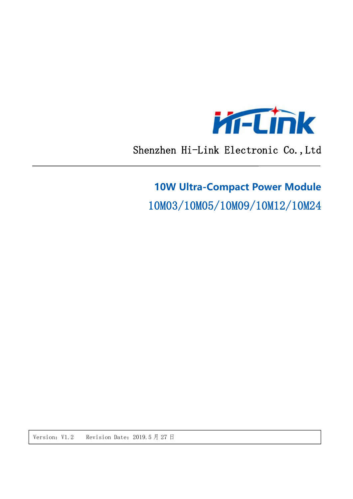

Shenzhen Hi-Link Electronic Co., Ltd

# **10W Ultra-Compact Power Module**

10M03/10M05/10M09/10M12/10M24

Version: V1.2 Revision Date: 2019.5 月 27 日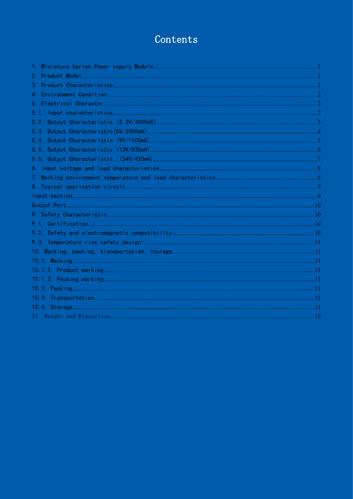## Contents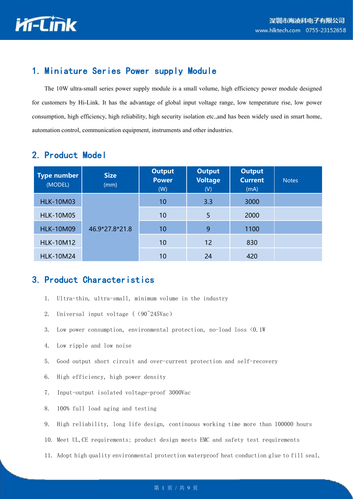

## <span id="page-2-0"></span>1. Miniature Series Power supply Module

The 10W ultra-small series power supply module isa small volume, high efficiency power module designed for customers by Hi-Link. It has the advantage of global input voltage range, low temperature rise, low power consumption, high efficiency, high reliability, high security isolation etc.,and has been widely used in smart home, automation control, communication equipment, instruments and other industries.

| <b>Type number</b><br>(MODEL) | <b>Size</b><br>(mm) | <b>Output</b><br><b>Power</b><br>(W) | <b>Output</b><br><b>Voltage</b><br>(V) | <b>Output</b><br><b>Current</b><br>(mA) | <b>Notes</b> |
|-------------------------------|---------------------|--------------------------------------|----------------------------------------|-----------------------------------------|--------------|
| <b>HLK-10M03</b>              |                     | 10                                   | 3.3                                    | 3000                                    |              |
| <b>HLK-10M05</b>              |                     | 10                                   | 5                                      | 2000                                    |              |
| <b>HLK-10M09</b>              | 46.9*27.8*21.8      | 10                                   | 9                                      | 1100                                    |              |
| <b>HLK-10M12</b>              |                     | 10                                   | 12                                     | 830                                     |              |
| <b>HLK-10M24</b>              |                     | 10                                   | 24                                     | 420                                     |              |

### <span id="page-2-1"></span>2. Product Model

### <span id="page-2-2"></span>3. Product Characteristics

- 1. Ultra-thin, ultra-small, minimum volume in the industry
- 2. Universal input voltage ((90~245Vac)
- 3. Low power consumption, environmental protection, no-load loss <0.1W
- 4. Low ripple and low noise
- 5. Good output short circuit and over-current protection and self-recovery
- 6. High efficiency, high power density
- 7. Input-output isolated voltage-proof 3000Vac
- 8. 100% full load aging and testing
- 9. High reliability, long life design, continuous working time more than 100000 hours
- 10. Meet UL,CE requirements; product design meets EMC and safety test requirements
- 11. Adopt high quality environmental protection waterproof heat conduction glue to fill seal,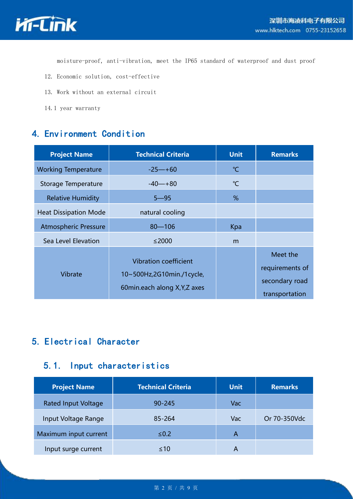

moisture-proof, anti-vibration, meet the IP65 standard of waterproof and dust proof

- 12. Economic solution, cost-effective
- 13. Work without an external circuit
- 14.1 year warranty

## <span id="page-3-0"></span>4. Environment Condition

| <b>Project Name</b>          | <b>Technical Criteria</b>                                                                  | <b>Unit</b>  | <b>Remarks</b>                                                  |
|------------------------------|--------------------------------------------------------------------------------------------|--------------|-----------------------------------------------------------------|
| <b>Working Temperature</b>   | $-25 - +60$                                                                                | $^{\circ}$ C |                                                                 |
| Storage Temperature          | $-40 - +80$                                                                                | $\mathrm{C}$ |                                                                 |
| <b>Relative Humidity</b>     | $5 - 95$                                                                                   | %            |                                                                 |
| <b>Heat Dissipation Mode</b> | natural cooling                                                                            |              |                                                                 |
| <b>Atmospheric Pressure</b>  | $80 - 106$                                                                                 | Kpa          |                                                                 |
| Sea Level Elevation          | $\leq$ 2000                                                                                | m            |                                                                 |
| Vibrate                      | <b>Vibration coefficient</b><br>10~500Hz,2G10min./1cycle,<br>60min.each along X, Y, Z axes |              | Meet the<br>requirements of<br>secondary road<br>transportation |

## <span id="page-3-1"></span>5. Electrical Character

### <span id="page-3-2"></span>5.1. Input characteristics

| <b>Project Name</b>        | <b>Technical Criteria</b> | <b>Unit</b> | <b>Remarks</b> |
|----------------------------|---------------------------|-------------|----------------|
| <b>Rated Input Voltage</b> | $90 - 245$                | Vac         |                |
| Input Voltage Range        | 85-264                    | Vac         | Or 70-350Vdc   |
| Maximum input current      | $\leq 0.2$                | A           |                |
| Input surge current        | $\leq 10$                 | A           |                |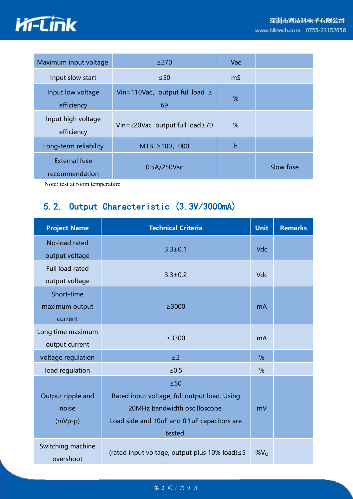

| Maximum input voltage                  | $≤270$                                    | Vac |           |
|----------------------------------------|-------------------------------------------|-----|-----------|
| Input slow start                       | $\leq 50$                                 | mS  |           |
| Input low voltage<br>efficiency        | Vin=110Vac, output full load $\geq$<br>69 | %   |           |
| Input high voltage<br>efficiency       | Vin=220Vac, output full load≥70           | %   |           |
| Long-term reliability                  | $MTBF \ge 100, 000$                       | h   |           |
| <b>External fuse</b><br>recommendation | 0.5A/250Vac                               |     | Slow fuse |

Note: test at room temperature

## <span id="page-4-0"></span>5.2. Output Characteristic (3.3V/3000mA)

| <b>Project Name</b>            | <b>Technical Criteria</b>                      | <b>Unit</b>     | <b>Remarks</b> |
|--------------------------------|------------------------------------------------|-----------------|----------------|
| No-load rated                  | $3.3 \pm 0.1$                                  | Vdc             |                |
| output voltage                 |                                                |                 |                |
| Full load rated                | $3.3 \pm 0.2$                                  | <b>Vdc</b>      |                |
| output voltage                 |                                                |                 |                |
| Short-time                     |                                                |                 |                |
| maximum output                 | $\geq$ 3000                                    | mA              |                |
| current                        |                                                |                 |                |
| Long time maximum              | >3300                                          | mA              |                |
| output current                 |                                                |                 |                |
| voltage regulation             | ±2                                             | %               |                |
| load regulation                | ±0.5                                           | %               |                |
|                                | $\leq 50$                                      |                 |                |
| Output ripple and              | Rated input voltage, full output load. Using   |                 |                |
| noise                          | 20MHz bandwidth oscilloscope,                  | mV              |                |
| $(mVp-p)$                      | Load side and 10uF and 0.1uF capacitors are    |                 |                |
|                                | tested.                                        |                 |                |
| Switching machine<br>overshoot | (rated input voltage, output plus 10% load) ≤5 | %V <sub>O</sub> |                |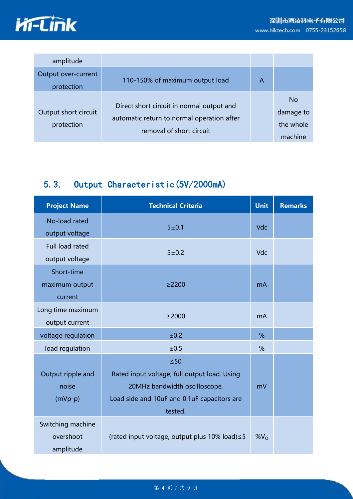

| amplitude                          |                                                                                                                     |   |                                                |
|------------------------------------|---------------------------------------------------------------------------------------------------------------------|---|------------------------------------------------|
| Output over-current<br>protection  | 110-150% of maximum output load                                                                                     | A |                                                |
| Output short circuit<br>protection | Direct short circuit in normal output and<br>automatic return to normal operation after<br>removal of short circuit |   | <b>No</b><br>damage to<br>the whole<br>machine |

## <span id="page-5-0"></span>5.3. Output Characteristic(5V/2000mA)

| <b>Project Name</b> | <b>Technical Criteria</b>                      | <b>Unit</b> | <b>Remarks</b> |
|---------------------|------------------------------------------------|-------------|----------------|
| No-load rated       | 5 ± 0.1                                        | Vdc         |                |
| output voltage      |                                                |             |                |
| Full load rated     | 5 ± 0.2                                        |             |                |
| output voltage      |                                                | Vdc         |                |
| Short-time          |                                                |             |                |
| maximum output      | $\geq$ 2200                                    | mA          |                |
| current             |                                                |             |                |
| Long time maximum   | $\geq$ 2000                                    | <b>mA</b>   |                |
| output current      |                                                |             |                |
| voltage regulation  | ±0.2                                           | %           |                |
| load regulation     | ±0.5                                           | %           |                |
|                     | $\leq 50$                                      |             |                |
| Output ripple and   | Rated input voltage, full output load. Using   |             |                |
| noise               | 20MHz bandwidth oscilloscope,                  | mV          |                |
| $(mVp-p)$           | Load side and 10uF and 0.1uF capacitors are    |             |                |
|                     | tested.                                        |             |                |
| Switching machine   |                                                |             |                |
| overshoot           | (rated input voltage, output plus 10% load) ≤5 | $%V_{O}$    |                |
| amplitude           |                                                |             |                |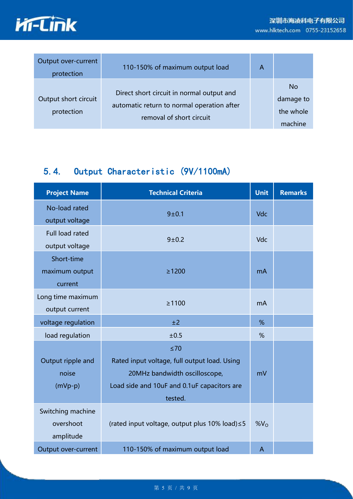

| Output over-current<br>protection  | 110-150% of maximum output load                                                                                     | A |                                                |
|------------------------------------|---------------------------------------------------------------------------------------------------------------------|---|------------------------------------------------|
| Output short circuit<br>protection | Direct short circuit in normal output and<br>automatic return to normal operation after<br>removal of short circuit |   | <b>No</b><br>damage to<br>the whole<br>machine |

## <span id="page-6-0"></span>5.4. Output Characteristic (9V/1100mA)

| <b>Project Name</b>    | <b>Technical Criteria</b>                      | <b>Unit</b>     | <b>Remarks</b> |
|------------------------|------------------------------------------------|-----------------|----------------|
| No-load rated          | 9 ± 0.1                                        | <b>Vdc</b>      |                |
| output voltage         |                                                |                 |                |
| <b>Full load rated</b> | $9 + 0.2$                                      | Vdc             |                |
| output voltage         |                                                |                 |                |
| Short-time             |                                                |                 |                |
| maximum output         | $\geq 1200$                                    | mA              |                |
| current                |                                                |                 |                |
| Long time maximum      |                                                |                 |                |
| output current         | ≥1100                                          | mA              |                |
| voltage regulation     | ±2                                             | %               |                |
| load regulation        | ±0.5                                           | %               |                |
|                        | $\leq 70$                                      |                 |                |
| Output ripple and      | Rated input voltage, full output load. Using   |                 |                |
| noise                  | 20MHz bandwidth oscilloscope,                  | mV              |                |
| $(mVp-p)$              | Load side and 10uF and 0.1uF capacitors are    |                 |                |
|                        | tested.                                        |                 |                |
| Switching machine      |                                                |                 |                |
| overshoot              | (rated input voltage, output plus 10% load) ≤5 | %V <sub>O</sub> |                |
| amplitude              |                                                |                 |                |
| Output over-current    | 110-150% of maximum output load                | $\mathsf{A}$    |                |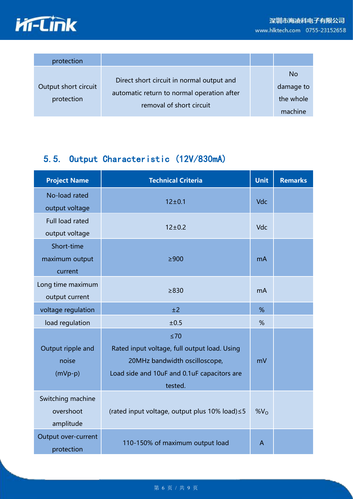



| protection                         |                                                                                                                     |                                                |
|------------------------------------|---------------------------------------------------------------------------------------------------------------------|------------------------------------------------|
| Output short circuit<br>protection | Direct short circuit in normal output and<br>automatic return to normal operation after<br>removal of short circuit | <b>No</b><br>damage to<br>the whole<br>machine |

## <span id="page-7-0"></span>5.5. Output Characteristic (12V/830mA)

| <b>Project Name</b> | <b>Technical Criteria</b>                      | <b>Unit</b>     | <b>Remarks</b> |
|---------------------|------------------------------------------------|-----------------|----------------|
| No-load rated       | $12 \pm 0.1$                                   | <b>Vdc</b>      |                |
| output voltage      |                                                |                 |                |
| Full load rated     | $12 + 0.2$                                     | Vdc             |                |
| output voltage      |                                                |                 |                |
| Short-time          |                                                |                 |                |
| maximum output      | $\geq 900$                                     | <b>mA</b>       |                |
| current             |                                                |                 |                |
| Long time maximum   | $\geq 830$                                     | m <sub>A</sub>  |                |
| output current      |                                                |                 |                |
| voltage regulation  | ±2                                             | %               |                |
| load regulation     | ±0.5                                           | %               |                |
|                     | $\leq 70$                                      |                 |                |
| Output ripple and   | Rated input voltage, full output load. Using   |                 |                |
| noise               | 20MHz bandwidth oscilloscope,                  | mV              |                |
| $(mVp-p)$           | Load side and 10uF and 0.1uF capacitors are    |                 |                |
|                     | tested.                                        |                 |                |
| Switching machine   |                                                |                 |                |
| overshoot           | (rated input voltage, output plus 10% load) ≤5 | %V <sub>O</sub> |                |
| amplitude           |                                                |                 |                |
| Output over-current | 110-150% of maximum output load                | $\mathsf{A}$    |                |
| protection          |                                                |                 |                |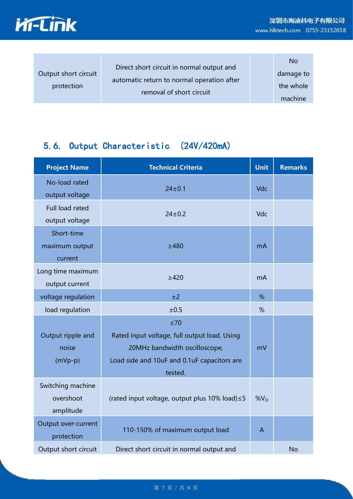

| Output short circuit<br>protection | Direct short circuit in normal output and<br>automatic return to normal operation after<br>removal of short circuit |  | No.<br>damage to<br>the whole<br>machine |  |
|------------------------------------|---------------------------------------------------------------------------------------------------------------------|--|------------------------------------------|--|
|------------------------------------|---------------------------------------------------------------------------------------------------------------------|--|------------------------------------------|--|

## <span id="page-8-0"></span>5.6. Output Characteristic (24V/420mA)

| <b>Project Name</b>                         | <b>Technical Criteria</b>                                                                                                                            | <b>Unit</b>    | <b>Remarks</b> |
|---------------------------------------------|------------------------------------------------------------------------------------------------------------------------------------------------------|----------------|----------------|
| No-load rated<br>output voltage             | $24 \pm 0.1$                                                                                                                                         | Vdc            |                |
| <b>Full load rated</b><br>output voltage    | $24 \pm 0.2$                                                                                                                                         | Vdc            |                |
| Short-time<br>maximum output<br>current     | $\geq$ 480                                                                                                                                           | m <sub>A</sub> |                |
| Long time maximum<br>output current         | $\geq$ 420                                                                                                                                           | m <sub>A</sub> |                |
| voltage regulation                          | ±2                                                                                                                                                   | %              |                |
| load regulation                             | ±0.5                                                                                                                                                 | %              |                |
| Output ripple and<br>noise<br>$(mVp-p)$     | $\leq 70$<br>Rated input voltage, full output load. Using<br>20MHz bandwidth oscilloscope,<br>Load side and 10uF and 0.1uF capacitors are<br>tested. | mV             |                |
| Switching machine<br>overshoot<br>amplitude | (rated input voltage, output plus 10% load) ≤5                                                                                                       | $%V_{O}$       |                |
| Output over-current<br>protection           | 110-150% of maximum output load                                                                                                                      | $\overline{A}$ |                |
| Output short circuit                        | Direct short circuit in normal output and                                                                                                            |                | <b>No</b>      |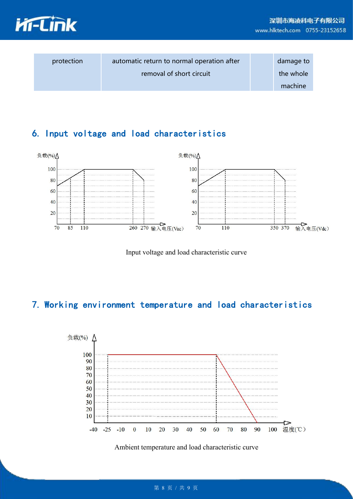

| protection | automatic return to normal operation after | damage to |
|------------|--------------------------------------------|-----------|
|            | removal of short circuit                   | the whole |
|            |                                            | machine   |

## <span id="page-9-0"></span>6. Input voltage and load characteristics



Input voltage and load characteristic curve

## <span id="page-9-1"></span>7. Working environment temperature and load characteristics



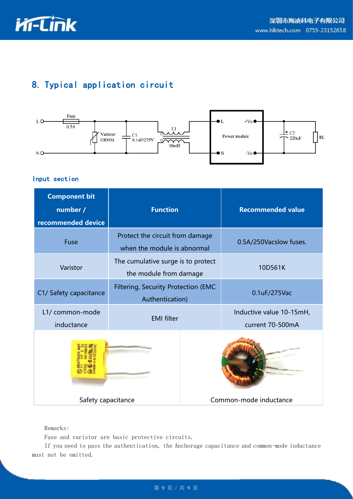

## <span id="page-10-0"></span>8. Typical application circuit



#### <span id="page-10-1"></span>Input section

| <b>Component bit</b>           |                                                                |  |                                              |
|--------------------------------|----------------------------------------------------------------|--|----------------------------------------------|
| number /<br>recommended device | <b>Function</b>                                                |  | <b>Recommended value</b>                     |
| Fuse                           | Protect the circuit from damage<br>when the module is abnormal |  | 0.5A/250Vacslow fuses.                       |
| Varistor                       | The cumulative surge is to protect<br>the module from damage   |  | 10D561K                                      |
| C1/ Safety capacitance         | Filtering, Security Protection (EMC<br>Authentication)         |  | 0.1uF/275Vac                                 |
| L1/ common-mode<br>inductance  | <b>EMI filter</b>                                              |  | Inductive value 10-15mH,<br>current 70-500mA |
|                                |                                                                |  |                                              |
| Safety capacitance             |                                                                |  | Common-mode inductance                       |

#### Remarks:

Fuse and varistor are basic protective circuits.

If you need to pass the authentication, the Anchorage capacitance and common-mode inductance must not be omitted.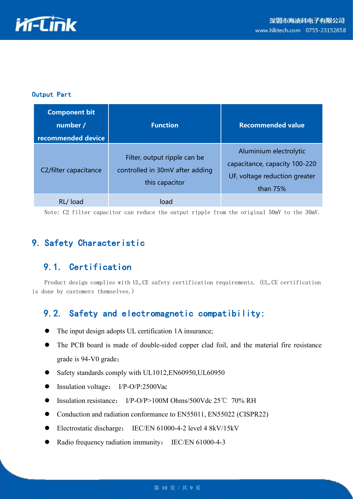

#### <span id="page-11-0"></span>Output Part

| <b>Component bit</b><br>number /<br>recommended device | <b>Function</b>                                                                   | <b>Recommended value</b>                                                                               |
|--------------------------------------------------------|-----------------------------------------------------------------------------------|--------------------------------------------------------------------------------------------------------|
| C2/filter capacitance                                  | Filter, output ripple can be<br>controlled in 30mV after adding<br>this capacitor | Aluminium electrolytic<br>capacitance, capacity 100-220<br>UF, voltage reduction greater<br>than $75%$ |
| RL/load                                                | load                                                                              |                                                                                                        |

Note: C2 filter capacitor can reduce the output ripple from the original 50mV to the 30mV.

## <span id="page-11-1"></span>9. Safety Characteristic

## <span id="page-11-2"></span>9.1. Certification

Product design complies with UL,CE safety certification requirements. (UL,CE certification is done by customers themselves.)

### <span id="page-11-3"></span>9.2. Safety and electromagnetic compatibility:

- The input design adopts UL certification 1A insurance;
- The PCB board is made of double-sided copper clad foil, and the material fire resistance grade is 94-V0 grade;
- Safety standards comply with UL1012,EN60950,UL60950
- Insulation voltage: I/P-O/P:2500Vac
- Insulation resistance: I/P-O/P>100M Ohms/500Vdc 25℃ 70% RH
- Conduction and radiation conformance to EN55011, EN55022 (CISPR22)
- Electrostatic discharge: IEC/EN 61000-4-2 level 4 8kV/15kV
- Radio frequency radiation immunity: IEC/EN 61000-4-3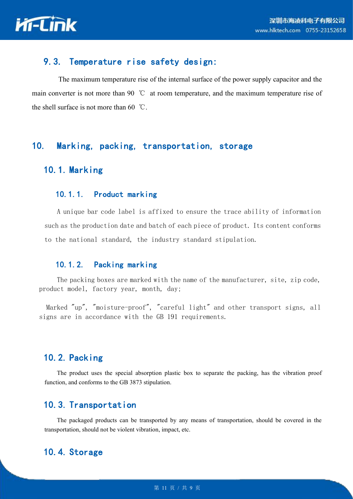

### <span id="page-12-0"></span>9.3. Temperature rise safety design:

The maximum temperature rise of the internal surface of the power supply capacitor and the main converter is not more than 90 ℃ at room temperature, and the maximum temperature rise of the shell surface is not more than 60 ℃.

#### <span id="page-12-1"></span>10. Marking, packing, transportation, storage

## <span id="page-12-2"></span>10.1. Marking

#### <span id="page-12-3"></span>10.1.1. Product marking

A unique bar code label is affixed to ensure the trace ability of information such as the production date and batch of each piece of product. Its content conforms to the national standard, the industry standard stipulation.

#### <span id="page-12-4"></span>10.1.2. Packing marking

The packing boxes are marked with the name of the manufacturer, site, zip code, product model, factory year, month, day;

Marked "up", "moisture-proof", "careful light" and other transport signs, all signs are in accordance with the GB 191 requirements.

### <span id="page-12-5"></span>10.2. Packing

The product uses the special absorption plastic box to separate the packing, has the vibration proof function, and conforms to the GB 3873 stipulation.

#### <span id="page-12-6"></span>10.3. Transportation

The packaged products can be transported by any means of transportation, should be covered in the transportation, should not be violent vibration, impact, etc.

### <span id="page-12-7"></span>10.4. Storage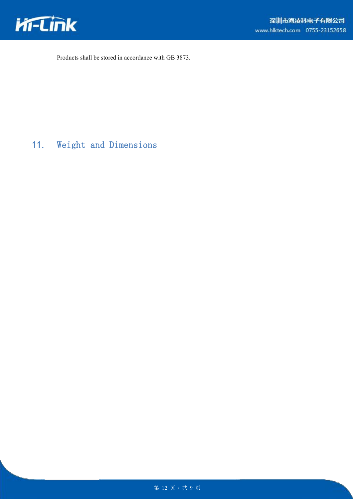

Products shall be stored in accordance with GB 3873.

<span id="page-13-0"></span>11. Weight and Dimensions